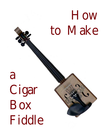## How to Make

a Cigar Box Fiddle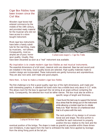## Cigar Box Fiddles have been known since the Civil War.

Wooden cig ar boxes had entered commerce by the middle of the 19th century, and provided ready material for the musician who did not have access to a store boug ht instrument.

Most cig ar box instruments have been a handy substitute for the real thing, made by musicians, not luthiers. Consequently, most examples are of poor, homespun quality. Usually, they



*Earliest known image of a Cigar Box Fiddle.*

have been discarded as soon as a "real" instrument was available.

## My inspiration is to create modern cigar box fiddles as real musical instruments.

The essential dimensions of a full sized, classical violin are observed. Bass bar and sound post are installed in the body. Good quality boxes are selected. Hig h quality materials made to modern design are incorporated. These instruments are gently humorous and unpretentious. They are also rock solid, well made and good players.

Here then, is how to make a modern cigar box fiddle.

The first challenge is to find a good quality cigar box of the right dimensions, well made and with interesting graphics. A standard full sized violin has a middle bout only about 4-1/2" wide. This allows room for the bow to approach the 1st string at an angle without contacting the body. Consequently, the selected box must be rather narrow. The box must also be within a



*Laying out the basic shape.*

specific range of leng th and thickness.

I have found the best way to support the tremendous stress that the strings put on the instrument while allowing a modest cigar box to vibrate freely is to "float" the box on a hardwood strut that is of a piece with the neck.

The neck portion of my desig n is of conventional size and shape. The strut portion is modified for each instrument to properly position the box relative to the neck and the

eventual position of the bridge. The shape is made as graceful as possible within these dimension limitations. It also tapers from the heel to withstand the static force applied by leverage from the string fixing point at the tail pin.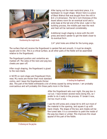

*Bandsawing the rough blank.*

After laying out the main neck/strut piece, it is bandsawn to roug h shape. Shown here is a piece of Black Walnut that was boug ht from the mill in 8/4 x 6 dimension. The full 2 inch thickness of this board allows room for an eventual scroll and a wide base at the tail end of the strut. Later in the building process, the middle part near the neck and heel will be narrowed considerably.

Additional roug h shaping is done with the drill press and bench sander to g et the blank closer to its eventual form.

1/4" pilot holes are drilled for the tuning pegs.

The surface that will receive the fing erboard is sanded flat and smooth. It must be straig ht, square and in line. This is a critical surface, as all other parts of the fiddle will be assembled relative to the fing erboard.

The fing erboard position and centerline are marked off. The sides of the neck and peg box cheeks are sawn off.

After roug h shaping, the fing erboard is glued to the neck blank.

A NOTE on neck shape and fing erboard thickness: My necks are thicker than most standard violins, and I leave the fing erboards thicker



*Attaching the fingerboard.*

also. This part of the fiddle withstands a lot of stress caused by string tension. I am probably overcautious and will probably thin these parts more in the future.



*Hollowing out the peg box.*

After the fing erboard sets over nig ht, the peg box is cut out. I have broken several necks doing this, so I prefer to do it early in the process. If I break it now, not too much is lost.

I use the drill press and a large bit to drill out most of the material in the opening, and square it up with hand chisels. The shape of the box and cheeks will be fine tuned later. It is a convention to paint the inside of the peg box black or umber. This improves the visual appeal of this part of the fiddle.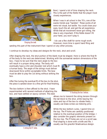

*Shaping the neck*

Next, I spend a lot of time shaping the neck. This is the part of the fiddle that the player most closely experiences.

When I was in art school in the 70's, one of the wacko trends was "handies". These works of art were not visual, but tactile. You could close your eyes, touch the art, and get the art experience. While that art movement never got rolling, the idea is very important. If this fiddle doesn't fit your hand, you won't play it.

I do use a flex shaft for some rough work. However, more time is spent hand filing and

sanding this part of the instrument than I spend on any other process.

I continue to develop my ideas and desig ns for the neck, strut and scroll.

After shaping the neck, the strut portion of the blank must be shaped. Here is where the final fit of the body to the neck are determined. Working with the somewhat random dimensions of the

box, I have to be sure that the neck angle to the box will result in a proper string setup. The body will eventually have a chin and shoulder rest which must fit a human body. The angle of the string s must deliver downward force within acceptable limits. The bow must be able to play the 1st string without striking the box.

After fine tuning the eventual fit of the box to the strut, the piece is sanded down to a fine g rit for final finishing.

The box bottom is then affixed to the strut. I have experimented with several methods of attaching the box, and have settled on epoxy cement. This best



*Attaching the box bottom.*



*Cutting the ff holes.*

allows me to transmit the string tension throug h the tail block to the strut, while leaving the sides and top of the box to vibrate freely. I usually use brass screws as indexing pins.

While the box bottom cures, I spend time on the top. The ff holes are carefully positioned relative to the eventual position of the bridge. I also consider the g raphic elements present on the box top. The ff holes are cut on a scroll saw. Final shaping is done with a knife and file. I usually use the g raceful Stradivarious desig n.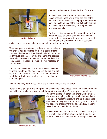

*Installing the bass bar.*

The bass bar is glued to the underside of the top.

Volumes have been written on the correct size, shape, material, positioning, arch, etc. etc. of the bass bar in a classical violin. The purpose of the bass bar is to create an area of the top that will vibrate in relatively long er waveleng ths, creating the lower tones and partials.

The bass bar is mounted on the bass side of the top, under the bass leg of the bridge in relatively the same position as prescribed for a standard violin. It is a thin triangle in cross-section and has scalloped

ends. It extendss sound vibrations over a large section of the top.

The sound post is positioned just behind the treble leg of the bridg e. Its purpose is to promote a lateral rocking motion of the bridge which drives vibrations into the top, and through the bass leg of the bridge into the bass bar. Faster vibrations are promoted on the treble side of the body ahead of the sound post, and slower vibrations on the bass side.

 Just for fun, I leave the tops of these boxes functional. If you take the string s off, you can open the box and put cig ars in it. To save the owner the problem of trying to reset the post after opening the body, I glue them in with hide glue.



*Measuring for the sound post.*

By now the body bottom has cured, and it's time to install the tail block.

Here's what's going on: The strings will be attached to the tailpiece, which will attach to the tail pin, which is installed in a hole drilled through the lower edge of the body into the tail block.



*Installing the tail block.*

When the strings are tensioned, there will be tremendous pressure trying to lift up the tail pin towards the peg box. To resist this pressure, the tail block applies downward leverage on the strut through the bottom of the box. And that is where the streng th lies. The strut takes the stress, and the box floats.

The tail block must be of hard wood. I often use maple or walnut scraps left from roug hing out the neck. The block is drilled then taper reamed to accept the tail pin.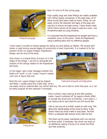

*Fitting the tuning pegs.*

Now it's time to fit the tuning peg s.

Hig h quality peg s and other fitting s are readily available from luthier supply companies. In the early days, all of these would have been made by hand. Today, we can easily control the diameter and taper of the pegs and peg box to ensure accurate tuning. I leave ample material for future service as the pegs or peg box wear. I use Hindersine paste as a peg dressing.

It is important that the fing erboard be straight and have a consistent curve. At this point, I dress the fing erboard, using a sanding block and my reference gauges.

I have made a number of simple gauges for laying out and setting up fiddles. The simple stick shown is used during several stages of construction of each instrument. It is marked to fix the position of the nut (upper bridge), fingerboard,

bridg e, and the end of the body.

Also shown is a simple block of wood cut in the shape of the bridg e. I use this to anticipate the position of the string s relative to the fing erboard and body.

At this stage I get a clear message whether this fiddle will "work" or not. I hope I haven't waited until now to fig ure that out!



*Checking the string path and bridge position.*

Next the nut (upper bridge) must be shaped and fitted. I usually leave this a little high, since I

can easily remove material later, but cannot add any. The nut is held on with hide glue, so it can be easily popped off and replaced if necessary.



*Fitting the nut.*

Here is where I start noticing all the little sanding marks I haven't polished off. So begins a frantic effort to smooth the wood prior to finishing. I can't help it...I can hardly wait to see what this one will sound like.

I like to use tung oil as a finish, wiped on with a rag. This allows the natural beauty of the wood to show. It also doesn't leave any brush marks or dust spots. The final finish is a subdued satin texture which suits me fine.

This finish can be easily maintained with non-silicone furniture polish. If necessary, the owner can wipe on an additional coating of tung oil to renew the finish and hide scratches.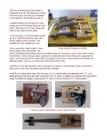Truth or consequences! The bridge is measured and cut. The tailpiece is set up with fine tuners. The tail gut is installed in the tailpiece. The string s are put on.

I usually tension the string s only moderately and let the whole thing set over nig ht. There are a lot of new parts that have to get used to each other.

In the morning, I tune that baby up and g o at it. Those first double stops and poorly played tunes of which I am capable are very g ratifying to me.

I am a very poor violin player. I have been playing since 5th g rade, and



*Bridge, strings and tailpiece are installed.*

clearly understand that others have more talent than me. However, I am in love with musical instruments. I know enough about playing to understand how these things are supposed to work. I will never thrill the crowd with my playing. If one of my instruments in the hands of a talented player does so, my task will have been worth while.

A NOTE on chin and shoulder rests: Althoug h not shown in this booklet, each instrument is fitted with a chin rest. Shoulder rests are also available.

A NOTE on 5 string instruments: The 5th string is a "C" a fourth below the standard violin "G". I use fractional sized viola string sets with a standard violin "E" string. In addition to extending the instrument's range, this allows the player to play favorite "G" and "D" licks in the key of "C" in first position.



Here are some instruments I have made recently.